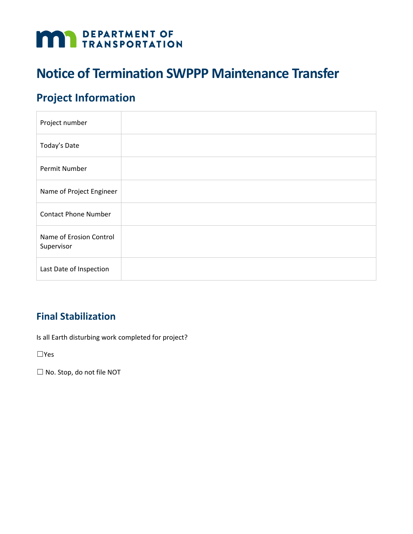# **DEPARTMENT OF TRANSPORTATION**

# **Notice of Termination SWPPP Maintenance Transfer**

# **Project Information**

| Project number                        |  |
|---------------------------------------|--|
| Today's Date                          |  |
| Permit Number                         |  |
| Name of Project Engineer              |  |
| <b>Contact Phone Number</b>           |  |
| Name of Erosion Control<br>Supervisor |  |
| Last Date of Inspection               |  |

### **Final Stabilization**

Is all Earth disturbing work completed for project?

☐Yes

☐ No. Stop, do not file NOT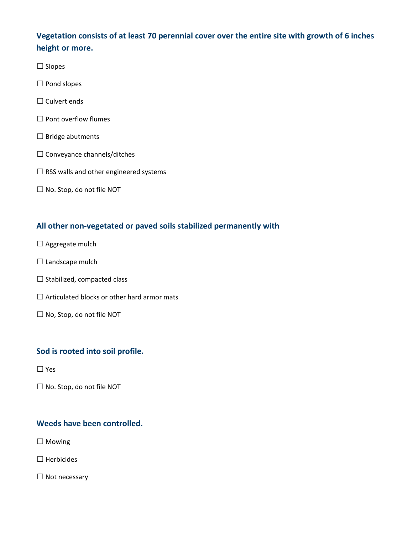#### **Vegetation consists of at least 70 perennial cover over the entire site with growth of 6 inches height or more.**

- ☐ Slopes
- ☐ Pond slopes
- $\Box$  Culvert ends
- □ Pont overflow flumes
- $\Box$  Bridge abutments
- ☐ Conveyance channels/ditches
- $\Box$  RSS walls and other engineered systems
- ☐ No. Stop, do not file NOT

#### **All other non-vegetated or paved soils stabilized permanently with**

- □ Aggregate mulch
- $\Box$  Landscape mulch
- $\Box$  Stabilized, compacted class
- $\Box$  Articulated blocks or other hard armor mats
- ☐ No, Stop, do not file NOT

#### **Sod is rooted into soil profile.**

- ☐ Yes
- ☐ No. Stop, do not file NOT

#### **Weeds have been controlled.**

□ Mowing

☐ Herbicides

☐ Not necessary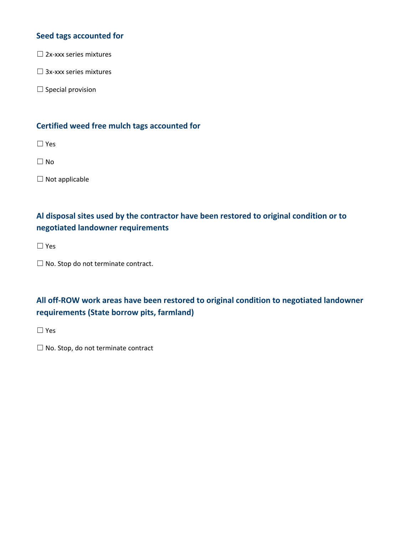#### **Seed tags accounted for**

 $\square$  2x-xxx series mixtures

☐ 3x-xxx series mixtures

□ Special provision

#### **Certified weed free mulch tags accounted for**

☐ Yes

☐ No

☐ Not applicable

#### **Al disposal sites used by the contractor have been restored to original condition or to negotiated landowner requirements**

☐ Yes

☐ No. Stop do not terminate contract.

#### **All off-ROW work areas have been restored to original condition to negotiated landowner requirements (State borrow pits, farmland)**

☐ Yes

 $\Box$  No. Stop, do not terminate contract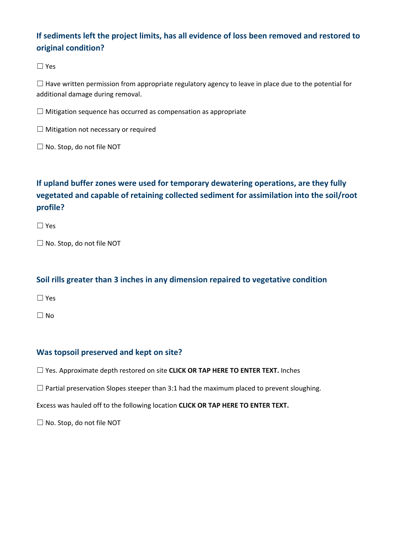#### **If sediments left the project limits, has all evidence of loss been removed and restored to original condition?**

☐ Yes

 $\Box$  Have written permission from appropriate regulatory agency to leave in place due to the potential for additional damage during removal.

 $\Box$  Mitigation sequence has occurred as compensation as appropriate

☐ Mitigation not necessary or required

☐ No. Stop, do not file NOT

#### **If upland buffer zones were used for temporary dewatering operations, are they fully vegetated and capable of retaining collected sediment for assimilation into the soil/root profile?**

☐ Yes

☐ No. Stop, do not file NOT

#### **Soil rills greater than 3 inches in any dimension repaired to vegetative condition**

☐ Yes

 $\Box$  No

#### **Was topsoil preserved and kept on site?**

☐ Yes. Approximate depth restored on site **CLICK OR TAP HERE TO ENTER TEXT.** Inches

 $\Box$  Partial preservation Slopes steeper than 3:1 had the maximum placed to prevent sloughing.

Excess was hauled off to the following location **CLICK OR TAP HERE TO ENTER TEXT.**

☐ No. Stop, do not file NOT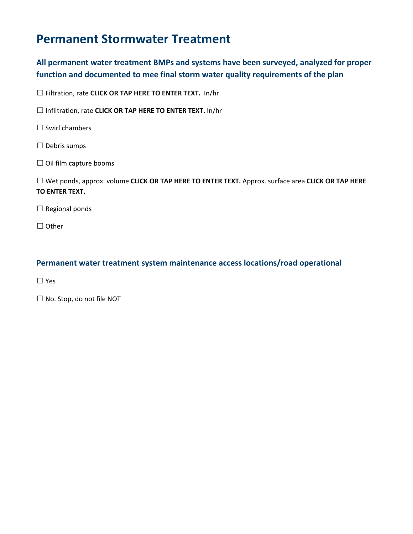# **Permanent Stormwater Treatment**

#### **All permanent water treatment BMPs and systems have been surveyed, analyzed for proper function and documented to mee final storm water quality requirements of the plan**

☐ Filtration, rate **CLICK OR TAP HERE TO ENTER TEXT.** In/hr

☐ Infiltration, rate **CLICK OR TAP HERE TO ENTER TEXT.** In/hr

□ Swirl chambers

- ☐ Debris sumps
- ☐ Oil film capture booms

☐ Wet ponds, approx. volume **CLICK OR TAP HERE TO ENTER TEXT.** Approx. surface area **CLICK OR TAP HERE TO ENTER TEXT.**

 $\Box$  Regional ponds

☐ Other

#### **Permanent water treatment system maintenance access locations/road operational**

☐ Yes

☐ No. Stop, do not file NOT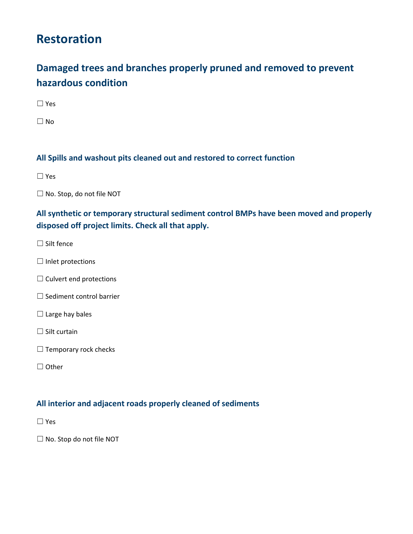# **Restoration**

## **Damaged trees and branches properly pruned and removed to prevent hazardous condition**

☐ Yes

 $\Box$  No

#### **All Spills and washout pits cleaned out and restored to correct function**

☐ Yes

☐ No. Stop, do not file NOT

**All synthetic or temporary structural sediment control BMPs have been moved and properly disposed off project limits. Check all that apply.**

- $\Box$  Silt fence
- ☐ Inlet protections
- □ Culvert end protections
- ☐ Sediment control barrier
- $\Box$  Large hay bales
- $\Box$  Silt curtain
- $\Box$  Temporary rock checks
- ☐ Other

#### **All interior and adjacent roads properly cleaned of sediments**

☐ Yes

☐ No. Stop do not file NOT